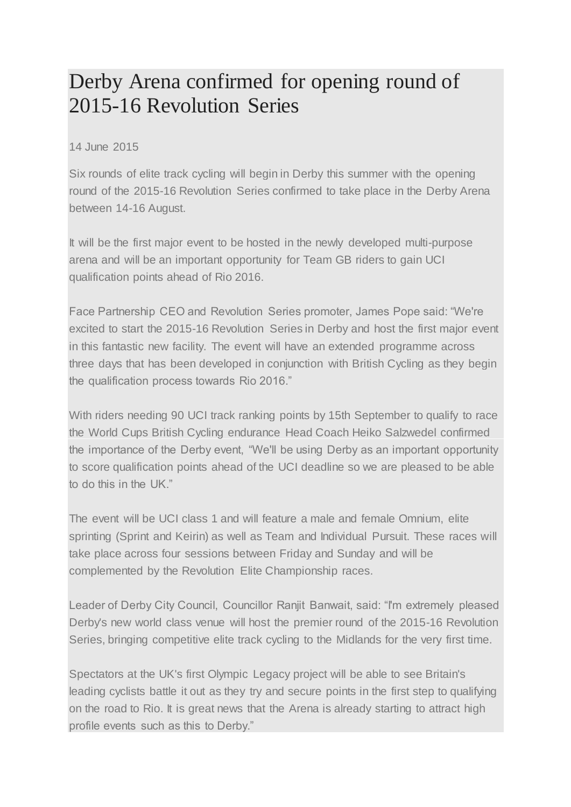## Derby Arena confirmed for opening round of 2015-16 Revolution Series

14 June 2015

Six rounds of elite track cycling will begin in Derby this summer with the opening round of the 2015-16 Revolution Series confirmed to take place in the Derby Arena between 14-16 August.

It will be the first major event to be hosted in the newly developed multi-purpose arena and will be an important opportunity for Team GB riders to gain UCI qualification points ahead of Rio 2016.

Face Partnership CEO and Revolution Series promoter, James Pope said: "We're excited to start the 2015-16 Revolution Series in Derby and host the first major event in this fantastic new facility. The event will have an extended programme across three days that has been developed in conjunction with British Cycling as they begin the qualification process towards Rio 2016."

With riders needing 90 UCI track ranking points by 15th September to qualify to race the World Cups British Cycling endurance Head Coach Heiko Salzwedel confirmed the importance of the Derby event, "We'll be using Derby as an important opportunity to score qualification points ahead of the UCI deadline so we are pleased to be able to do this in the UK."

The event will be UCI class 1 and will feature a male and female Omnium, elite sprinting (Sprint and Keirin) as well as Team and Individual Pursuit. These races will take place across four sessions between Friday and Sunday and will be complemented by the Revolution Elite Championship races.

Leader of Derby City Council, Councillor Ranjit Banwait, said: "I'm extremely pleased Derby's new world class venue will host the premier round of the 2015-16 Revolution Series, bringing competitive elite track cycling to the Midlands for the very first time.

Spectators at the UK's first Olympic Legacy project will be able to see Britain's leading cyclists battle it out as they try and secure points in the first step to qualifying on the road to Rio. It is great news that the Arena is already starting to attract high profile events such as this to Derby."